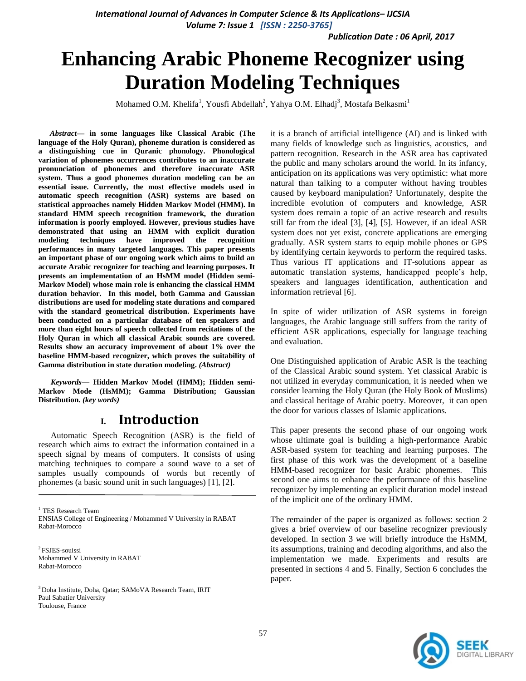*International Journal of Advances in Computer Science & Its Applications– IJCSIA Volume 7: Issue 1 [ISSN : 2250-3765]* 

*Publication Date : 06 April, 2017*

# **Enhancing Arabic Phoneme Recognizer using Duration Modeling Techniques**

Mohamed O.M. Khelifa<sup>1</sup>, Yousfi Abdellah<sup>2</sup>, Yahya O.M. Elhadj<sup>3</sup>, Mostafa Belkasmi<sup>1</sup>

*Abstract***— in some languages like Classical Arabic (The language of the Holy Quran), phoneme duration is considered as a distinguishing cue in Quranic phonology. Phonological variation of phonemes occurrences contributes to an inaccurate pronunciation of phonemes and therefore inaccurate ASR system. Thus a good phonemes duration modeling can be an essential issue. Currently, the most effective models used in automatic speech recognition (ASR) systems are based on statistical approaches namely Hidden Markov Model (HMM). In standard HMM speech recognition framework, the duration information is poorly employed. However, previous studies have demonstrated that using an HMM with explicit duration modeling techniques have improved the recognition performances in many targeted languages. This paper presents an important phase of our ongoing work which aims to build an accurate Arabic recognizer for teaching and learning purposes. It presents an implementation of an HsMM model (Hidden semi-Markov Model) whose main role is enhancing the classical HMM duration behavior. In this model, both Gamma and Gaussian distributions are used for modeling state durations and compared with the standard geometrical distribution. Experiments have been conducted on a particular database of ten speakers and more than eight hours of speech collected from recitations of the Holy Quran in which all classical Arabic sounds are covered. Results show an accuracy improvement of about 1% over the baseline HMM-based recognizer, which proves the suitability of Gamma distribution in state duration modeling.** *(Abstract)*

*Keywords—* **Hidden Markov Model (HMM); Hidden semi-Markov Mode (HsMM); Gamma Distribution; Gaussian Distribution.** *(key words)*

#### **I. Introduction**

Automatic Speech Recognition (ASR) is the field of research which aims to extract the information contained in a speech signal by means of computers. It consists of using matching techniques to compare a sound wave to a set of samples usually compounds of words but recently of phonemes (a basic sound unit in such languages) [1], [2].

<sup>1</sup> TES Research Team ENSIAS College of Engineering / Mohammed V University in RABAT Rabat-Morocco

<sup>2</sup>FSJES-souissi Mohammed V University in RABAT Rabat-Morocco

<sup>3</sup>Doha Institute, Doha, Qatar; SAMoVA Research Team, IRIT Paul Sabatier University Toulouse, France

it is a branch of artificial intelligence (AI) and is linked with many fields of knowledge such as linguistics, acoustics, and pattern recognition. Research in the ASR area has captivated the public and many scholars around the world. In its infancy, anticipation on its applications was very optimistic: what more natural than talking to a computer without having troubles caused by keyboard manipulation? Unfortunately, despite the incredible evolution of computers and knowledge, ASR system does remain a topic of an active research and results still far from the ideal [3], [4], [5]. However, if an ideal ASR system does not yet exist, concrete applications are emerging gradually. ASR system starts to equip mobile phones or GPS by identifying certain keywords to perform the required tasks. Thus various IT applications and IT-solutions appear as automatic translation systems, handicapped people's help, speakers and languages identification, authentication and information retrieval [6].

In spite of wider utilization of ASR systems in foreign languages, the Arabic language still suffers from the rarity of efficient ASR applications, especially for language teaching and evaluation.

One Distinguished application of Arabic ASR is the teaching of the Classical Arabic sound system. Yet classical Arabic is not utilized in everyday communication, it is needed when we consider learning the Holy Quran (the Holy Book of Muslims) and classical heritage of Arabic poetry. Moreover, it can open the door for various classes of Islamic applications.

This paper presents the second phase of our ongoing work whose ultimate goal is building a high-performance Arabic ASR-based system for teaching and learning purposes. The first phase of this work was the development of a baseline HMM-based recognizer for basic Arabic phonemes. This second one aims to enhance the performance of this baseline recognizer by implementing an explicit duration model instead of the implicit one of the ordinary HMM.

The remainder of the paper is organized as follows: section 2 gives a brief overview of our baseline recognizer previously developed. In section 3 we will briefly introduce the HsMM, its assumptions, training and decoding algorithms, and also the implementation we made. Experiments and results are presented in sections 4 and 5. Finally, Section 6 concludes the paper.

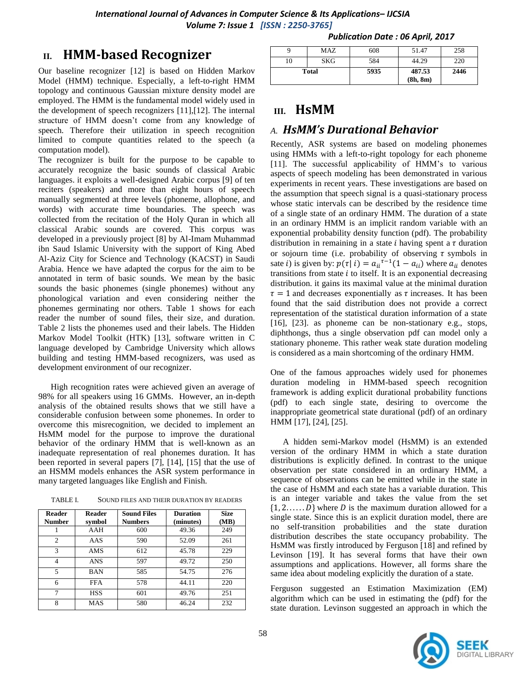*International Journal of Advances in Computer Science & Its Applications– IJCSIA Volume 7: Issue 1 [ISSN : 2250-3765]* 

## **II. HMM-based Recognizer**

Our baseline recognizer [12] is based on Hidden Markov Model (HMM) technique. Especially, a left-to-right HMM topology and continuous Gaussian mixture density model are employed. The HMM is the fundamental model widely used in the development of speech recognizers [11],[12]. The internal structure of HMM doesn't come from any knowledge of speech. Therefore their utilization in speech recognition limited to compute quantities related to the speech (a computation model).

The recognizer is built for the purpose to be capable to accurately recognize the basic sounds of classical Arabic languages. it exploits a well-designed Arabic corpus [9] of ten reciters (speakers) and more than eight hours of speech manually segmented at three levels (phoneme, allophone, and words) with accurate time boundaries. The speech was collected from the recitation of the Holy Quran in which all classical Arabic sounds are covered. This corpus was developed in a previously project [8] by Al-Imam Muhammad ibn Saud Islamic University with the support of King Abed Al-Aziz City for Science and Technology (KACST) in Saudi Arabia. Hence we have adapted the corpus for the aim to be annotated in term of basic sounds. We mean by the basic sounds the basic phonemes (single phonemes) without any phonological variation and even considering neither the phonemes germinating nor others. Table 1 shows for each reader the number of sound files, their size, and duration. Table 2 lists the phonemes used and their labels. The Hidden Markov Model Toolkit (HTK) [13], software written in C language developed by Cambridge University which allows building and testing HMM-based recognizers, was used as development environment of our recognizer.

High recognition rates were achieved given an average of 98% for all speakers using 16 GMMs. However, an in-depth analysis of the obtained results shows that we still have a considerable confusion between some phonemes. In order to overcome this misrecognition, we decided to implement an HsMM model for the purpose to improve the durational behavior of the ordinary HMM that is well-known as an inadequate representation of real phonemes duration. It has been reported in several papers [7], [14], [15] that the use of an HSMM models enhances the ASR system performance in many targeted languages like English and Finish.

| TABLE I. | SOUND FILES AND THEIR DURATION BY READERS |  |
|----------|-------------------------------------------|--|
|----------|-------------------------------------------|--|

| <b>Reader</b><br><b>Number</b> | <b>Reader</b><br>symbol | <b>Sound Files</b><br><b>Numbers</b> | <b>Duration</b><br>(minutes) | <b>Size</b><br>(MB) |  |
|--------------------------------|-------------------------|--------------------------------------|------------------------------|---------------------|--|
|                                | AAH                     | 600                                  | 49.36                        | 249                 |  |
| $\mathfrak{D}$                 | AAS                     | 590                                  | 52.09                        | 261                 |  |
| $\mathcal{R}$                  | <b>AMS</b>              | 612                                  | 45.78                        | 229                 |  |
| 4                              | <b>ANS</b>              | 597                                  | 49.72                        | 250                 |  |
| 5                              | <b>BAN</b>              | 585                                  | 54.75                        | 276                 |  |
| 6                              | <b>FFA</b>              | 578                                  | 44.11                        | 220                 |  |
| 7                              | <b>HSS</b>              | 601                                  | 49.76                        | 251                 |  |
| 8                              | MAS                     | 580                                  | 46.24                        | 232                 |  |

| <b>Total</b> |     | 5935 | 487.53<br>(8h, 8m) | 2446 |
|--------------|-----|------|--------------------|------|
| 10           | SKG | 584  | 44.29              | 220  |
|              | MAZ | 608  | 51.47              | 258  |
|              |     |      |                    |      |

*Publication Date : 06 April, 2017*

### **III. HsMM**

### *A. HsMM's Durational Behavior*

Recently, ASR systems are based on modeling phonemes using HMMs with a left-to-right topology for each phoneme [11]. The successful applicability of HMM's to various aspects of speech modeling has been demonstrated in various experiments in recent years. These investigations are based on the assumption that speech signal is a quasi-stationary process whose static intervals can be described by the residence time of a single state of an ordinary HMM. The duration of a state in an ordinary HMM is an implicit random variable with an exponential probability density function (pdf). The probability distribution in remaining in a state  $i$  having spent a  $\tau$  duration or sojourn time (i.e. probability of observing  $\tau$  symbols in sate *i*) is given by:  $p(\tau | i) = a_{ii}^{\tau-1}(1 - a_{ii})$  where  $a_{ii}$  denotes transitions from state  $i$  to itself. It is an exponential decreasing distribution. it gains its maximal value at the minimal duration  $\tau = 1$  and decreases exponentially as  $\tau$  increases. It has been found that the said distribution does not provide a correct representation of the statistical duration information of a state [16], [23]. as phoneme can be non-stationary e.g., stops, diphthongs, thus a single observation pdf can model only a stationary phoneme. This rather weak state duration modeling is considered as a main shortcoming of the ordinary HMM.

One of the famous approaches widely used for phonemes duration modeling in HMM-based speech recognition framework is adding explicit durational probability functions (pdf) to each single state, desiring to overcome the inappropriate geometrical state durational (pdf) of an ordinary HMM [17], [24], [25].

A hidden semi-Markov model (HsMM) is an extended version of the ordinary HMM in which a state duration distributions is explicitly defined. In contrast to the unique observation per state considered in an ordinary HMM, a sequence of observations can be emitted while in the state in the case of HsMM and each state has a variable duration. This is an integer variable and takes the value from the set  $\{1, 2, \ldots, D\}$  where D is the maximum duration allowed for a single state. Since this is an explicit duration model, there are no self-transition probabilities and the state duration distribution describes the state occupancy probability. The HsMM was firstly introduced by Ferguson [18] and refined by Levinson [19]. It has several forms that have their own assumptions and applications. However, all forms share the same idea about modeling explicitly the duration of a state.

Ferguson suggested an Estimation Maximization (EM) algorithm which can be used in estimating the (pdf) for the state duration. Levinson suggested an approach in which the

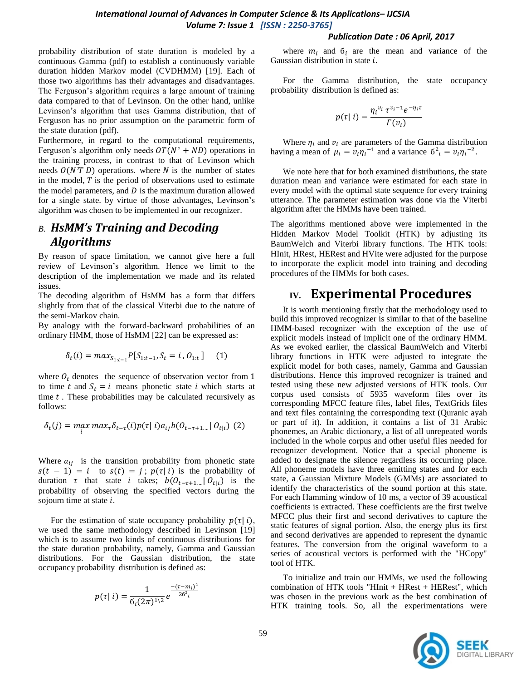*Publication Date : 06 April, 2017*

probability distribution of state duration is modeled by a continuous Gamma (pdf) to establish a continuously variable duration hidden Markov model (CVDHMM) [19]. Each of those two algorithms has their advantages and disadvantages. The Ferguson's algorithm requires a large amount of training data compared to that of Levinson. On the other hand, unlike Levinson's algorithm that uses Gamma distribution, that of Ferguson has no prior assumption on the parametric form of the state duration (pdf).

Furthermore, in regard to the computational requirements, Ferguson's algorithm only needs  $OT(N^2 + ND)$  operations in the training process, in contrast to that of Levinson which needs  $O(N^2T D)$  operations. where N is the number of states in the model,  $T$  is the period of observations used to estimate the model parameters, and  $D$  is the maximum duration allowed for a single state. by virtue of those advantages, Levinson's algorithm was chosen to be implemented in our recognizer.

### *B. HsMM's Training and Decoding Algorithms*

By reason of space limitation, we cannot give here a full review of Levinson's algorithm. Hence we limit to the description of the implementation we made and its related issues.

The decoding algorithm of HsMM has a form that differs slightly from that of the classical Viterbi due to the nature of the semi-Markov chain.

By analogy with the forward-backward probabilities of an ordinary HMM, those of HsMM [22] can be expressed as:

$$
\delta_t(i) = \max_{S_{1:t-1}} P[S_{1:t-1}, S_t = i, 0_{1:t}] \quad (1)
$$

where  $O_t$  denotes the sequence of observation vector from 1 to time t and  $S_t = i$  means phonetic state i which starts at time  $t$ . These probabilities may be calculated recursively as follows:

$$
\delta_t(j) = \max_i \max_{\tau} \delta_{t-\tau}(i) p(\tau | i) a_{ij} b(\theta_{t-\tau+1} | \theta_{t|i}) \tag{2}
$$

Where  $a_{ij}$  is the transition probability from phonetic state  $s(t-1) = i$  to  $s(t) = j$ ;  $p(\tau|i)$  is the probability of duration  $\tau$  that state *i* takes;  $b(O_{t-\tau+1}|| O_{t}|)$  is the probability of observing the specified vectors during the sojourn time at state  $i$ .

For the estimation of state occupancy probability  $p(\tau|i)$ , we used the same methodology described in Levinson [19] which is to assume two kinds of continuous distributions for the state duration probability, namely, Gamma and Gaussian distributions. For the Gaussian distribution, the state occupancy probability distribution is defined as:

$$
p(\tau | i) = \frac{1}{6_i (2\pi)^{1/2}} e^{\frac{-(\tau - m_i)^2}{26^2 i}}
$$

Gaussian distribution in state  $i$ .

where  $m_i$  and  $\delta_i$  are the mean and variance of the

For the Gamma distribution, the state occupancy probability distribution is defined as:

$$
p(\tau | i) = \frac{\eta_i^{\nu_i} \tau^{\nu_i - 1} e^{-\eta_i \tau}}{\Gamma(\nu_i)}
$$

Where  $\eta_i$  and  $\nu_i$  are parameters of the Gamma distribution having a mean of  $\mu_i = v_i \eta_i^{-1}$  and a variance  $\sigma_i^2 = v_i \eta_i^{-2}$ .

We note here that for both examined distributions, the state duration mean and variance were estimated for each state in every model with the optimal state sequence for every training utterance. The parameter estimation was done via the Viterbi algorithm after the HMMs have been trained.

The algorithms mentioned above were implemented in the Hidden Markov Model Toolkit (HTK) by adjusting its BaumWelch and Viterbi library functions. The HTK tools: HInit, HRest, HERest and HVite were adjusted for the purpose to incorporate the explicit model into training and decoding procedures of the HMMs for both cases.

# **IV. Experimental Procedures**

It is worth mentioning firstly that the methodology used to build this improved recognizer is similar to that of the baseline HMM-based recognizer with the exception of the use of explicit models instead of implicit one of the ordinary HMM. As we evoked earlier, the classical BaumWelch and Viterbi library functions in HTK were adjusted to integrate the explicit model for both cases, namely, Gamma and Gaussian distributions. Hence this improved recognizer is trained and tested using these new adjusted versions of HTK tools. Our corpus used consists of 5935 waveform files over its corresponding MFCC feature files, label files, TextGrids files and text files containing the corresponding text (Quranic ayah or part of it). In addition, it contains a list of 31 Arabic phonemes, an Arabic dictionary, a list of all unrepeated words included in the whole corpus and other useful files needed for recognizer development. Notice that a special phoneme is added to designate the silence regardless its occurring place. All phoneme models have three emitting states and for each state, a Gaussian Mixture Models (GMMs) are associated to identify the characteristics of the sound portion at this state. For each Hamming window of 10 ms, a vector of 39 acoustical coefficients is extracted. These coefficients are the first twelve MFCC plus their first and second derivatives to capture the static features of signal portion. Also, the energy plus its first and second derivatives are appended to represent the dynamic features. The conversion from the original waveform to a series of acoustical vectors is performed with the "HCopy" tool of HTK.

To initialize and train our HMMs, we used the following combination of HTK tools "HInit + HRest + HERest", which was chosen in the previous work as the best combination of HTK training tools. So, all the experimentations were

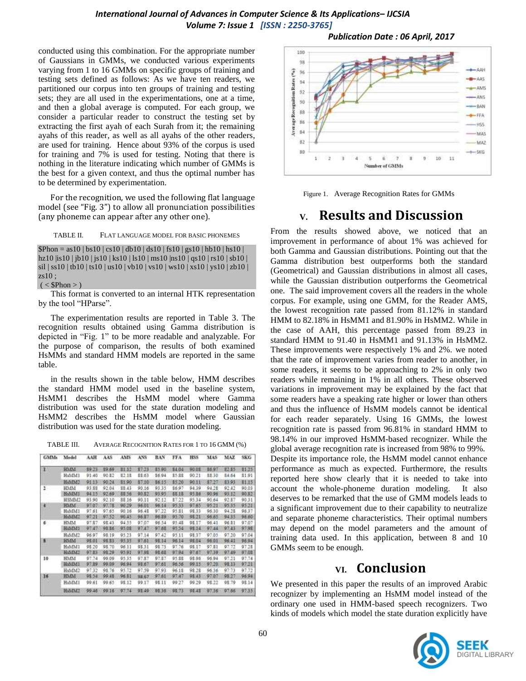conducted using this combination. For the appropriate number of Gaussians in GMMs, we conducted various experiments varying from 1 to 16 GMMs on specific groups of training and testing sets defined as follows: As we have ten readers, we partitioned our corpus into ten groups of training and testing sets; they are all used in the experimentations, one at a time, and then a global average is computed. For each group, we consider a particular reader to construct the testing set by extracting the first ayah of each Surah from it; the remaining ayahs of this reader, as well as all ayahs of the other readers, are used for training. Hence about 93% of the corpus is used for training and 7% is used for testing. Noting that there is nothing in the literature indicating which number of GMMs is the best for a given context, and thus the optimal number has to be determined by experimentation.

For the recognition, we used the following flat language model (see "Fig. 3") to allow all pronunciation possibilities (any phoneme can appear after any other one).

TABLE II. FLAT LANGUAGE MODEL FOR BASIC PHONEMES

 $$Phon = as10 | bs10 | cs10 | db10 | ds10 | fs10 | gs10 | hb10 | bs10 |$ hz10 |is10 | jb10 | js10 | ks10 | ls10 | ms10 |ns10 | qs10 | rs10 | sb10 | sil | ss10 | tb10 | ts10 | us10 | vb10 | vs10 | ws10 | xs10 | ys10 | zb10 |  $zsl0;$ 

 $(<$  \$Phon > )

This format is converted to an internal HTK representation by the tool "HParse".

The experimentation results are reported in Table 3. The recognition results obtained using Gamma distribution is depicted in "Fig. 1" to be more readable and analyzable. For the purpose of comparison, the results of both examined HsMMs and standard HMM models are reported in the same table.

in the results shown in the table below, HMM describes the standard HMM model used in the baseline system, HsMM1 describes the HsMM model where Gamma distribution was used for the state duration modeling and HsMM2 describes the HsMM model where Gaussian distribution was used for the state duration modeling.

TABLE III. AVERAGE RECOGNITION RATES FOR 1 TO 16 GMM (%)

| GMMs                    | Model              | AAH    | AAS   | AMS   | ANS    | BAN   | FFA    | HSS <sub></sub> | MAS   | MAZ.  | 58.G   |
|-------------------------|--------------------|--------|-------|-------|--------|-------|--------|-----------------|-------|-------|--------|
| 1                       | <b>HMM</b>         | \$9.73 | 39.69 | 31.12 | \$7.33 | 13.90 | \$4.04 | 90.0E           | 36.97 | 82.85 | 81.75  |
|                         | HsMM1              | 91.40  | 90.E2 | 32.18 | 88.63  | 86.94 | \$5.88 | 90.21           | 88.30 | 84.64 | \$1.91 |
|                         | HsMM2              | 9113   | 90.34 | 81.90 | 87.10  | 86.55 | \$5.20 | 90.11           | 37.27 | 83.93 | 81.15  |
| 2<br>- 2                | HMM                | 93.88  | 92.04 | 88.43 | 90.16  | 93.35 | \$6.97 | 94.39           | 94.28 | 92.42 | 90.03  |
|                         | Hs54M1             | 94.15  | 92.69 | 38.56 | 90.82  | 93.95 | 88.18  | 95.86           | 90.95 | 93.12 | 90.82  |
|                         | HSMM2              | 93.90  | 92.10 | 88.16 | 90.11  | 92.12 | \$7.22 | 95.34           | 90.64 | 92.87 | 9031   |
| 4                       | <b>HMM</b>         | 97.07  | 97.78 | 90.29 | 96.01  | 96.14 | 95.33  | 97.65           | 95.21 | 95.35 | 95.21  |
|                         | HaMMI              | 97.61  | 97.65 | 90.16 | 96.48  | 97.22 | 95.81  | 98.33           | 96.30 | 94.25 | 96.37  |
|                         | HsMM2              | 97.21  | 97.52 | 90.45 | 96.87  | 96.89 | 95.70  | 98.21           | 96.65 | 94.35 | 96.60  |
| 6                       | HMM                | 97.87  | 98.43 | 94.55 | 97.07  | 96.34 | 95.48  | 98.17           | 96.41 | 96.81 | 97.07  |
|                         | HaMM1              | 97.47  | 98.B6 | 95.08 | 97.47  | 97.68 | 95.54  | 98.14           | 97.44 | 97.43 | 97.98  |
|                         | HsMM2              | 96.97  | 98.19 | 95.23 | 97.14  | 97.42 | 95.11  | 93.37           | 97:05 | 97.20 | 97.04  |
| $\overline{\mathbf{x}}$ | MMM                | 95.01  | 98.83 | 95.33 | 97.61  | 98.14 | 96.14  | 98.04           | 96.01 | 96.41 | 96.94  |
|                         | HAMM1              | 98.20  | 98.70 | 96.11 | 98.31  | 98.73 | 97.76  | 98.17           | 97.81 | 97.72 | 97.28  |
|                         | HAMM2              | 97.83  | 98.29 | 95.91 | 97.98  | 98.68 | 97.94  | 97.67           | 97.39 | 97.49 | 97.01  |
| 10                      | HMM                | 97.74  | 99.09 | 95:35 | 97.87  | 97.87 | 95.88  | 93.96           | 96.94 | 97.21 | 97.74  |
|                         | HADA1              | 97.89  | 99.99 | 96.94 | 98.67  | 97.61 | 96.56  | 99.15           | 97.20 | 98.33 | 97.21  |
|                         | H <sub>3</sub> MM2 | 97.32  | 98.76 | 95.72 | 97.59  | 97.93 | 96.18  | 98.28           | 96.56 | 97.73 | 97.72  |
| 16                      | <b>HMM</b>         | 98.54  | 99.48 | 96.81 | 98.67  | 97.61 | 97.47  | 95.43           | 97.07 | 98.37 | 96.94  |
|                         | HabDA1             | 99.61  | 99.65 | 98:12 | 99.17  | 98.11 | 99.27  | 99.29           | 98.22 | 98.79 | 98.14  |
|                         | HaMM2              | 99.46  | 99.36 | 97.74 | 95.49  | 95.36 | PE.73  | 92.45           | 97.36 | 97.66 | 97.35  |



Figure 1. Average Recognition Rates for GMMs

## **V. Results and Discussion**

From the results showed above, we noticed that an improvement in performance of about 1% was achieved for both Gamma and Gaussian distributions. Pointing out that the Gamma distribution best outperforms both the standard (Geometrical) and Gaussian distributions in almost all cases, while the Gaussian distribution outperforms the Geometrical one. The said improvement covers all the readers in the whole corpus. For example, using one GMM, for the Reader AMS, the lowest recognition rate passed from 81.12% in standard HMM to 82.18% in HsMM1 and 81.90% in HsMM2. While in the case of AAH, this percentage passed from 89.23 in standard HMM to 91.40 in HsMM1 and 91.13% in HsMM2. These improvements were respectively 1% and 2%. we noted that the rate of improvement varies from reader to another, in some readers, it seems to be approaching to 2% in only two readers while remaining in 1% in all others. These observed variations in improvement may be explained by the fact that some readers have a speaking rate higher or lower than others and thus the influence of HsMM models cannot be identical for each reader separately. Using 16 GMMs, the lowest recognition rate is passed from 96.81% in standard HMM to 98.14% in our improved HsMM-based recognizer. While the global average recognition rate is increased from 98% to 99%. Despite its importance role, the HsMM model cannot enhance performance as much as expected. Furthermore, the results reported here show clearly that it is needed to take into account the whole-phoneme duration modeling. It also deserves to be remarked that the use of GMM models leads to a significant improvement due to their capability to neutralize and separate phoneme characteristics. Their optimal numbers may depend on the model parameters and the amount of training data used. In this application, between 8 and 10 GMMs seem to be enough.

# **VI. Conclusion**

We presented in this paper the results of an improved Arabic recognizer by implementing an HsMM model instead of the ordinary one used in HMM-based speech recognizers. Two kinds of models which model the state duration explicitly have